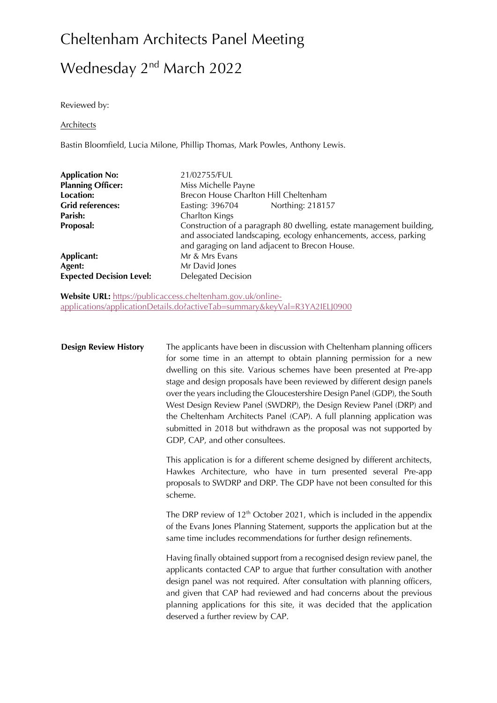# Wednesday 2<sup>nd</sup> March 2022

Reviewed by:

#### Architects

Bastin Bloomfield, Lucia Milone, Phillip Thomas, Mark Powles, Anthony Lewis.

| 21/02755/FUL<br>Miss Michelle Payne<br>Brecon House Charlton Hill Cheltenham<br>Northing: 218157<br>Easting: 396704<br>Charlton Kings<br>Construction of a paragraph 80 dwelling, estate management building,<br>and associated landscaping, ecology enhancements, access, parking<br>and garaging on land adjacent to Brecon House. |
|--------------------------------------------------------------------------------------------------------------------------------------------------------------------------------------------------------------------------------------------------------------------------------------------------------------------------------------|
| Mr & Mrs Evans<br>Mr David Jones<br><b>Delegated Decision</b>                                                                                                                                                                                                                                                                        |
|                                                                                                                                                                                                                                                                                                                                      |

**Website URL:** https://publicaccess.cheltenham.gov.uk/onlineapplications/applicationDetails.do?activeTab=summary&keyVal=R3YA2IELJ0900

**Design Review History** The applicants have been in discussion with Cheltenham planning officers for some time in an attempt to obtain planning permission for a new dwelling on this site. Various schemes have been presented at Pre-app stage and design proposals have been reviewed by different design panels over the years including the Gloucestershire Design Panel (GDP), the South West Design Review Panel (SWDRP), the Design Review Panel (DRP) and the Cheltenham Architects Panel (CAP). A full planning application was submitted in 2018 but withdrawn as the proposal was not supported by GDP, CAP, and other consultees.

> This application is for a different scheme designed by different architects, Hawkes Architecture, who have in turn presented several Pre-app proposals to SWDRP and DRP. The GDP have not been consulted for this scheme.

> The DRP review of  $12<sup>th</sup>$  October 2021, which is included in the appendix of the Evans Jones Planning Statement, supports the application but at the same time includes recommendations for further design refinements.

> Having finally obtained support from a recognised design review panel, the applicants contacted CAP to argue that further consultation with another design panel was not required. After consultation with planning officers, and given that CAP had reviewed and had concerns about the previous planning applications for this site, it was decided that the application deserved a further review by CAP.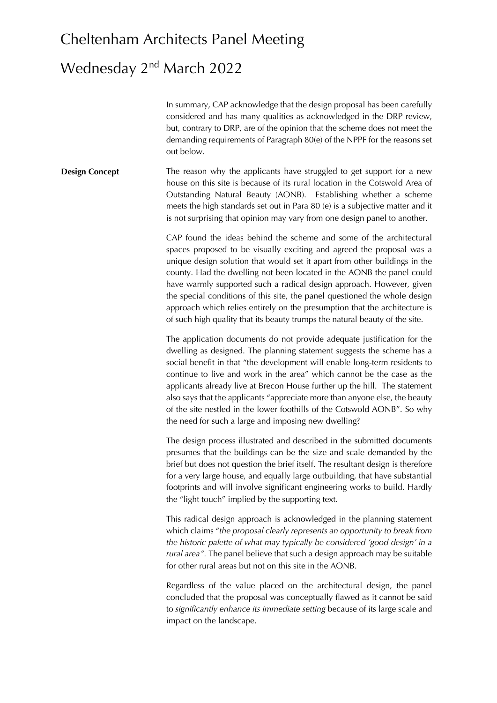#### Wednesday 2<sup>nd</sup> March 2022

In summary, CAP acknowledge that the design proposal has been carefully considered and has many qualities as acknowledged in the DRP review, but, contrary to DRP, are of the opinion that the scheme does not meet the demanding requirements of Paragraph 80(e) of the NPPF for the reasons set out below.

**Design Concept** The reason why the applicants have struggled to get support for a new house on this site is because of its rural location in the Cotswold Area of Outstanding Natural Beauty (AONB). Establishing whether a scheme meets the high standards set out in Para 80 (e) is a subjective matter and it is not surprising that opinion may vary from one design panel to another.

> CAP found the ideas behind the scheme and some of the architectural spaces proposed to be visually exciting and agreed the proposal was a unique design solution that would set it apart from other buildings in the county. Had the dwelling not been located in the AONB the panel could have warmly supported such a radical design approach. However, given the special conditions of this site, the panel questioned the whole design approach which relies entirely on the presumption that the architecture is of such high quality that its beauty trumps the natural beauty of the site.

> The application documents do not provide adequate justification for the dwelling as designed. The planning statement suggests the scheme has a social benefit in that "the development will enable long-term residents to continue to live and work in the area" which cannot be the case as the applicants already live at Brecon House further up the hill. The statement also says that the applicants "appreciate more than anyone else, the beauty of the site nestled in the lower foothills of the Cotswold AONB". So why the need for such a large and imposing new dwelling?

> The design process illustrated and described in the submitted documents presumes that the buildings can be the size and scale demanded by the brief but does not question the brief itself. The resultant design is therefore for a very large house, and equally large outbuilding, that have substantial footprints and will involve significant engineering works to build. Hardly the "light touch" implied by the supporting text.

> This radical design approach is acknowledged in the planning statement which claims "*the proposal clearly represents an opportunity to break from the historic palette of what may typically be considered 'good design' in a rural area".* The panel believe that such a design approach may be suitable for other rural areas but not on this site in the AONB.

> Regardless of the value placed on the architectural design, the panel concluded that the proposal was conceptually flawed as it cannot be said to *significantly enhance its immediate setting* because of its large scale and impact on the landscape.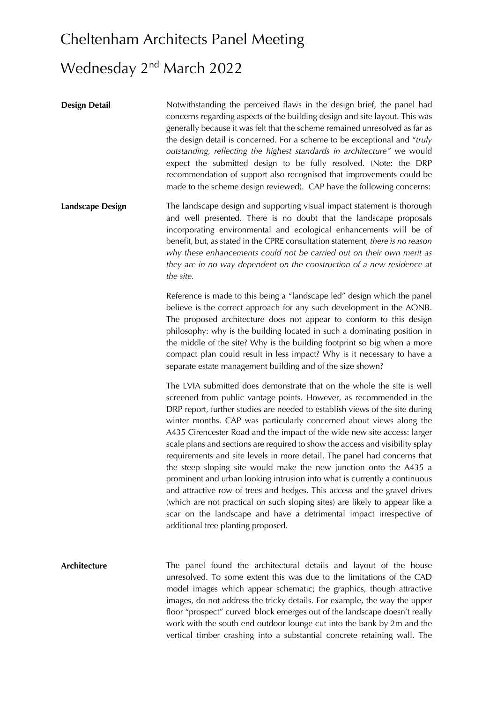### Wednesday 2<sup>nd</sup> March 2022

**Design Detail** Notwithstanding the perceived flaws in the design brief, the panel had concerns regarding aspects of the building design and site layout. This was generally because it was felt that the scheme remained unresolved as far as the design detail is concerned. For a scheme to be exceptional and "*truly outstanding, reflecting the highest standards in architecture"* we would expect the submitted design to be fully resolved. (Note: the DRP recommendation of support also recognised that improvements could be made to the scheme design reviewed). CAP have the following concerns: **Landscape Design** The landscape design and supporting visual impact statement is thorough and well presented. There is no doubt that the landscape proposals incorporating environmental and ecological enhancements will be of benefit, but, as stated in the CPRE consultation statement, *there is no reason why these enhancements could not be carried out on their own merit as they are in no way dependent on the construction of a new residence at the site.* Reference is made to this being a "landscape led" design which the panel believe is the correct approach for any such development in the AONB. The proposed architecture does not appear to conform to this design philosophy: why is the building located in such a dominating position in the middle of the site? Why is the building footprint so big when a more compact plan could result in less impact? Why is it necessary to have a separate estate management building and of the size shown? The LVIA submitted does demonstrate that on the whole the site is well screened from public vantage points. However, as recommended in the DRP report, further studies are needed to establish views of the site during winter months. CAP was particularly concerned about views along the A435 Cirencester Road and the impact of the wide new site access: larger scale plans and sections are required to show the access and visibility splay requirements and site levels in more detail. The panel had concerns that the steep sloping site would make the new junction onto the A435 a prominent and urban looking intrusion into what is currently a continuous and attractive row of trees and hedges. This access and the gravel drives (which are not practical on such sloping sites) are likely to appear like a scar on the landscape and have a detrimental impact irrespective of additional tree planting proposed. **Architecture** The panel found the architectural details and layout of the house unresolved. To some extent this was due to the limitations of the CAD model images which appear schematic; the graphics, though attractive images, do not address the tricky details. For example, the way the upper floor "prospect" curved block emerges out of the landscape doesn't really work with the south end outdoor lounge cut into the bank by 2m and the vertical timber crashing into a substantial concrete retaining wall. The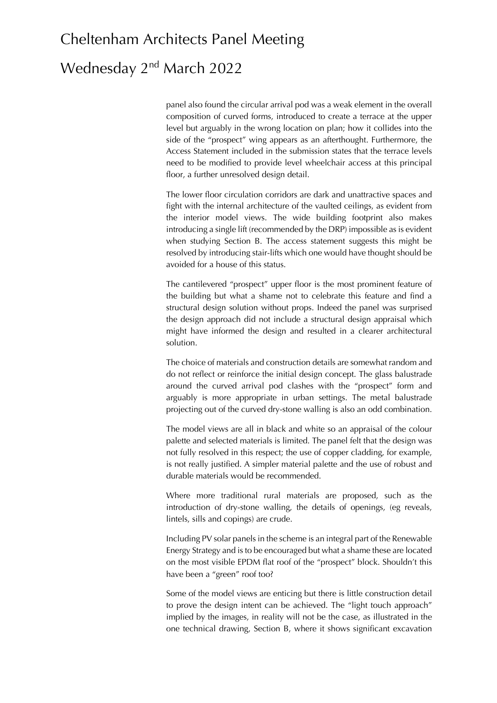## Wednesday 2<sup>nd</sup> March 2022

panel also found the circular arrival pod was a weak element in the overall composition of curved forms, introduced to create a terrace at the upper level but arguably in the wrong location on plan; how it collides into the side of the "prospect" wing appears as an afterthought. Furthermore, the Access Statement included in the submission states that the terrace levels need to be modified to provide level wheelchair access at this principal floor, a further unresolved design detail.

The lower floor circulation corridors are dark and unattractive spaces and fight with the internal architecture of the vaulted ceilings, as evident from the interior model views. The wide building footprint also makes introducing a single lift (recommended by the DRP) impossible as is evident when studying Section B. The access statement suggests this might be resolved by introducing stair-lifts which one would have thought should be avoided for a house of this status.

The cantilevered "prospect" upper floor is the most prominent feature of the building but what a shame not to celebrate this feature and find a structural design solution without props. Indeed the panel was surprised the design approach did not include a structural design appraisal which might have informed the design and resulted in a clearer architectural solution.

The choice of materials and construction details are somewhat random and do not reflect or reinforce the initial design concept. The glass balustrade around the curved arrival pod clashes with the "prospect" form and arguably is more appropriate in urban settings. The metal balustrade projecting out of the curved dry-stone walling is also an odd combination.

The model views are all in black and white so an appraisal of the colour palette and selected materials is limited. The panel felt that the design was not fully resolved in this respect; the use of copper cladding, for example, is not really justified. A simpler material palette and the use of robust and durable materials would be recommended.

Where more traditional rural materials are proposed, such as the introduction of dry-stone walling, the details of openings, (eg reveals, lintels, sills and copings) are crude.

Including PV solar panels in the scheme is an integral part of the Renewable Energy Strategy and is to be encouraged but what a shame these are located on the most visible EPDM flat roof of the "prospect" block. Shouldn't this have been a "green" roof too?

Some of the model views are enticing but there is little construction detail to prove the design intent can be achieved. The "light touch approach" implied by the images, in reality will not be the case, as illustrated in the one technical drawing, Section B, where it shows significant excavation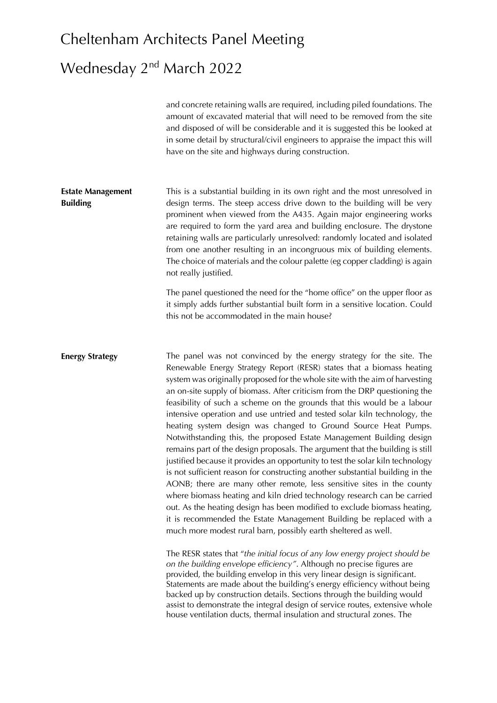# Wednesday 2<sup>nd</sup> March 2022

|                                             | and concrete retaining walls are required, including piled foundations. The<br>amount of excavated material that will need to be removed from the site<br>and disposed of will be considerable and it is suggested this be looked at<br>in some detail by structural/civil engineers to appraise the impact this will<br>have on the site and highways during construction.                                                                                                                                                                                                                                                                                                                                                                                                                                                                                                                                                                                                                                                                                                                                                                                                                                                                                                                                                                                                                                                                                                                                                                                                                                                                                                                                                                                                                    |
|---------------------------------------------|------------------------------------------------------------------------------------------------------------------------------------------------------------------------------------------------------------------------------------------------------------------------------------------------------------------------------------------------------------------------------------------------------------------------------------------------------------------------------------------------------------------------------------------------------------------------------------------------------------------------------------------------------------------------------------------------------------------------------------------------------------------------------------------------------------------------------------------------------------------------------------------------------------------------------------------------------------------------------------------------------------------------------------------------------------------------------------------------------------------------------------------------------------------------------------------------------------------------------------------------------------------------------------------------------------------------------------------------------------------------------------------------------------------------------------------------------------------------------------------------------------------------------------------------------------------------------------------------------------------------------------------------------------------------------------------------------------------------------------------------------------------------------------------------|
| <b>Estate Management</b><br><b>Building</b> | This is a substantial building in its own right and the most unresolved in<br>design terms. The steep access drive down to the building will be very<br>prominent when viewed from the A435. Again major engineering works<br>are required to form the yard area and building enclosure. The drystone<br>retaining walls are particularly unresolved: randomly located and isolated<br>from one another resulting in an incongruous mix of building elements.<br>The choice of materials and the colour palette (eg copper cladding) is again<br>not really justified.                                                                                                                                                                                                                                                                                                                                                                                                                                                                                                                                                                                                                                                                                                                                                                                                                                                                                                                                                                                                                                                                                                                                                                                                                         |
|                                             | The panel questioned the need for the "home office" on the upper floor as<br>it simply adds further substantial built form in a sensitive location. Could<br>this not be accommodated in the main house?                                                                                                                                                                                                                                                                                                                                                                                                                                                                                                                                                                                                                                                                                                                                                                                                                                                                                                                                                                                                                                                                                                                                                                                                                                                                                                                                                                                                                                                                                                                                                                                       |
| <b>Energy Strategy</b>                      | The panel was not convinced by the energy strategy for the site. The<br>Renewable Energy Strategy Report (RESR) states that a biomass heating<br>system was originally proposed for the whole site with the aim of harvesting<br>an on-site supply of biomass. After criticism from the DRP questioning the<br>feasibility of such a scheme on the grounds that this would be a labour<br>intensive operation and use untried and tested solar kiln technology, the<br>heating system design was changed to Ground Source Heat Pumps.<br>Notwithstanding this, the proposed Estate Management Building design<br>remains part of the design proposals. The argument that the building is still<br>justified because it provides an opportunity to test the solar kiln technology<br>is not sufficient reason for constructing another substantial building in the<br>AONB; there are many other remote, less sensitive sites in the county<br>where biomass heating and kiln dried technology research can be carried<br>out. As the heating design has been modified to exclude biomass heating,<br>it is recommended the Estate Management Building be replaced with a<br>much more modest rural barn, possibly earth sheltered as well.<br>The RESR states that "the initial focus of any low energy project should be<br>on the building envelope efficiency". Although no precise figures are<br>provided, the building envelop in this very linear design is significant.<br>Statements are made about the building's energy efficiency without being<br>backed up by construction details. Sections through the building would<br>assist to demonstrate the integral design of service routes, extensive whole<br>house ventilation ducts, thermal insulation and structural zones. The |